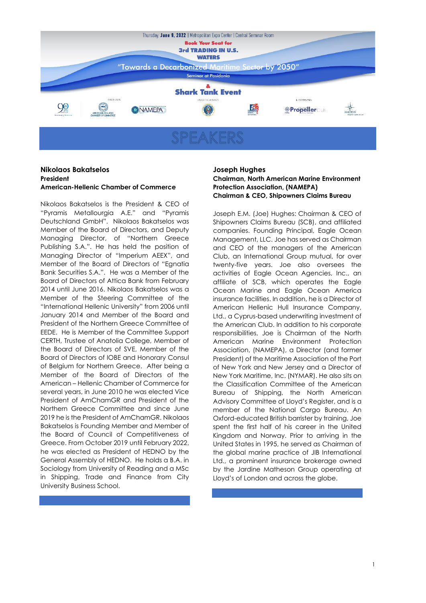

#### **Nikolaos Bakatselos President American-Hellenic Chamber of Commerce**

Nikolaos Bakatselos is the President & CEO of "Pyramis Metallourgia A.E." and "Pyramis Deutschland GmbH". Nikolaos Bakatselos was Member of the Board of Directors, and Deputy Managing Director, of "Northern Greece Publishing S.A.". He has held the position of Managing Director of "Imperium AEEX", and Member of the Board of Directors of "Egnatia Bank Securities S.A.". He was a Member of the Board of Directors of Attica Bank from February 2014 until June 2016. Nikolaos Bakatselos was a Member of the Steering Committee of the "International Hellenic University" from 2006 until January 2014 and Member of the Board and President of the Northern Greece Committee of EEDE. He is Member of the Committee Support CERTH, Trustee of Anatolia College, Member of the Board of Directors of SVE, Member of the Board of Directors of IOBE and Honorary Consul of Belgium for Northern Greece. After being a Member of the Board of Directors of the American – Hellenic Chamber of Commerce for several years, in June 2010 he was elected Vice President of AmChamGR and President of the Northern Greece Committee and since June 2019 he is the President of AmChamGR. Nikolaos Bakatselos is Founding Member and Member of the Board of Council of Competitiveness of Greece. From October 2019 until February 2022, he was elected as President of HEDNO by the General Assembly of HEDNO. He holds a B.A. in Sociology from University of Reading and a MSc in Shipping, Trade and Finance from City University Business School.

#### **Joseph Hughes**

**Chairman, North American Marine Environment Protection Association, (NAMEPA) Chairman & CEO, Shipowners Claims Bureau**

Joseph E.M. (Joe) Hughes: Chairman & CEO of Shipowners Claims Bureau (SCB), and affiliated companies. Founding Principal, Eagle Ocean Management, LLC. Joe has served as Chairman and CEO of the managers of the American Club, an International Group mutual, for over twenty-five years. Joe also oversees the activities of Eagle Ocean Agencies, Inc., an affiliate of SCB, which operates the Eagle Ocean Marine and Eagle Ocean America insurance facilities. In addition, he is a Director of American Hellenic Hull Insurance Company, Ltd., a Cyprus-based underwriting investment of the American Club. In addition to his corporate responsibilities, Joe is Chairman of the North American Marine Environment Protection Association, (NAMEPA), a Director (and former President) of the Maritime Association of the Port of New York and New Jersey and a Director of New York Maritime, Inc. (NYMAR). He also sits on the Classification Committee of the American Bureau of Shipping, the North American Advisory Committee of Lloyd's Register, and is a member of the National Cargo Bureau. An Oxford-educated British barrister by training, Joe spent the first half of his career in the United Kingdom and Norway. Prior to arriving in the United States in 1995, he served as Chairman of the global marine practice of JIB International Ltd., a prominent insurance brokerage owned by the Jardine Matheson Group operating at Lloyd's of London and across the globe.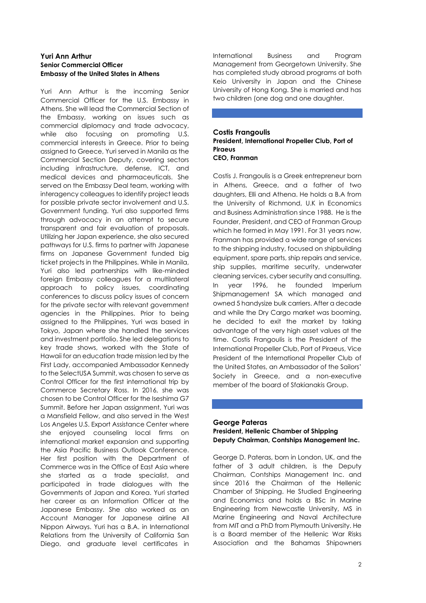#### **Yuri Ann Arthur Senior Commercial Officer Embassy of the United States in Athens**

Yuri Ann Arthur is the incoming Senior Commercial Officer for the U.S. Embassy in Athens. She will lead the Commercial Section of the Embassy, working on issues such as commercial diplomacy and trade advocacy, while also focusing on promoting U.S. commercial interests in Greece. Prior to being assigned to Greece, Yuri served in Manila as the Commercial Section Deputy, covering sectors including infrastructure, defense, ICT, and medical devices and pharmaceuticals. She served on the Embassy Deal team, working with interagency colleagues to identify project leads for possible private sector involvement and U.S. Government funding. Yuri also supported firms through advocacy in an attempt to secure transparent and fair evaluation of proposals. Utilizing her Japan experience, she also secured pathways for U.S. firms to partner with Japanese firms on Japanese Government funded big ticket projects in the Philippines. While in Manila, Yuri also led partnerships with like-minded foreign Embassy colleagues for a multilateral approach to policy issues, coordinating conferences to discuss policy issues of concern for the private sector with relevant government agencies in the Philippines. Prior to being assigned to the Philippines, Yuri was based in Tokyo, Japan where she handled the services and investment portfolio. She led delegations to key trade shows, worked with the State of Hawaii for an education trade mission led by the First Lady, accompanied Ambassador Kennedy to the SelectUSA Summit, was chosen to serve as Control Officer for the first international trip by Commerce Secretary Ross. In 2016, she was chosen to be Control Officer for the Iseshima G7 Summit. Before her Japan assignment, Yuri was a Mansfield Fellow, and also served in the West Los Angeles U.S. Export Assistance Center where she enjoyed counseling local firms on international market expansion and supporting the Asia Pacific Business Outlook Conference. Her first position with the Department of Commerce was in the Office of East Asia where she started as a trade specialist, and participated in trade dialogues with the Governments of Japan and Korea. Yuri started her career as an Information Officer at the Japanese Embassy. She also worked as an Account Manager for Japanese airline All Nippon Airways. Yuri has a B.A. in International Relations from the University of California San Diego, and graduate level certificates in

International Business and Program Management from Georgetown University. She has completed study abroad programs at both Keio University in Japan and the Chinese University of Hong Kong. She is married and has two children (one dog and one daughter.

#### **Costis Frangoulis President, International Propeller Club, Port of Piraeus CEO, Franman**

Costis J. Frangoulis is a Greek entrepreneur born in Athens, Greece, and a father of two daughters, Elli and Athena. He holds a B.A from the University of Richmond, U.K in Economics and Business Administration since 1988. He is the Founder, President, and CEO of Franman Group which he formed in May 1991. For 31 years now, Franman has provided a wide range of services to the shipping industry, focused on shipbuilding equipment, spare parts, ship repairs and service, ship supplies, maritime security, underwater cleaning services, cyber security and consulting. In year 1996, he founded Imperium Shipmanagement SA which managed and owned 5 handysize bulk carriers. After a decade and while the Dry Cargo market was booming, he decided to exit the market by taking advantage of the very high asset values at the time. Costis Frangoulis is the President of the International Propeller Club, Port of Piraeus, Vice President of the International Propeller Club of the United States, an Ambassador of the Sailors' Society in Greece, and a non-executive member of the board of Sfakianakis Group.

#### **George Pateras President, Hellenic Chamber of Shipping Deputy Chairman, Contships Management Inc.**

George D. Pateras, born in London, UK, and the father of 3 adult children, is the Deputy Chairman, Contships Management Inc. and since 2016 the Chairman of the Hellenic Chamber of Shipping. He Studied Engineering and Economics and holds a BSc in Marine Engineering from Newcastle University, MS in Marine Engineering and Naval Architecture from MIT and a PhD from Plymouth University. He is a Board member of the Hellenic War Risks Association and the Bahamas Shipowners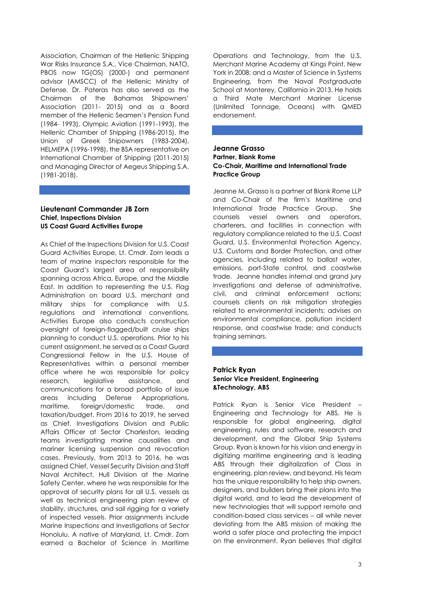Association, Chairman of the Hellenic Shipping War Risks Insurance S.A., Vice Chairman, NATO, PBOS now TG(OS) (2000-) and permanent advisor (AMSCC) of the Hellenic Ministry of Defense. Dr. Pateras has also served as the Chairman of the Bahamas Shipowners' Association (2011- 2015) and as a Board member of the Hellenic Seamen's Pension Fund (1984- 1993), Olympic Aviation (1991-1993), the Hellenic Chamber of Shipping (1986-2015), the Union of Greek Shipowners (1983-2004), HELMEPA (1996-1998), the BSA representative on International Chamber of Shipping (2011-2015) and Managing Director of Aegeus Shipping S.A. (1981-2018).

#### **Lieutenant Commander JB Zorn Chief, Inspections Division US Coast Guard Activities Europe**

As Chief of the Inspections Division for U.S. Coast Guard Activities Europe, Lt. Cmdr. Zorn leads a team of marine inspectors responsible for the Coast Guard's largest area of responsibility spanning across Africa, Europe, and the Middle East. In addition to representing the U.S. Flag Administration on board U.S. merchant and military ships for compliance with U.S. regulations and international conventions, Activities Europe also conducts construction oversight of foreign-flagged/built cruise ships planning to conduct U.S. operations. Prior to his current assignment, he served as a Coast Guard Congressional Fellow in the U.S. House of Representatives within a personal member office where he was responsible for policy research, legislative assistance, and communications for a broad portfolio of issue areas including Defense Appropriations, maritime, foreign/domestic trade, and taxation/budget. From 2016 to 2019, he served as Chief, Investigations Division and Public Affairs Officer at Sector Charleston, leading teams investigating marine causalities and mariner licensing suspension and revocation cases. Previously, from 2013 to 2016, he was assigned Chief, Vessel Security Division and Staff Naval Architect, Hull Division at the Marine Safety Center, where he was responsible for the approval of security plans for all U.S. vessels as well as technical engineering plan review of stability, structures, and sail rigging for a variety of inspected vessels. Prior assignments include Marine Inspections and Investigations at Sector Honolulu. A native of Maryland, Lt. Cmdr. Zorn earned a Bachelor of Science in Maritime

Operations and Technology, from the U.S. Merchant Marine Academy at Kings Point, New York in 2008; and a Master of Science in Systems Engineering, from the Naval Postgraduate School at Monterey, California in 2013. He holds a Third Mate Merchant Mariner License (Unlimited Tonnage, Oceans) with QMED endorsement.

#### **Jeanne Grasso Partner, Blank Rome Co-Chair, Maritime and International Trade Practice Group**

Jeanne M. Grasso is a partner at Blank Rome LLP and Co-Chair of the firm's Maritime and International Trade Practice Group. She counsels vessel owners and operators, charterers, and facilities in connection with regulatory compliance related to the U.S. Coast Guard, U.S. Environmental Protection Agency, U.S. Customs and Border Protection, and other agencies, including related to ballast water, emissions, port-State control, and coastwise trade. Jeanne handles internal and grand jury investigations and defense of administrative, civil, and criminal enforcement actions; counsels clients on risk mitigation strategies related to environmental incidents; advises on environmental compliance, pollution incident response, and coastwise trade; and conducts training seminars.

### **Patrick Ryan Senior Vice President, Engineering &Technology, ABS**

Patrick Ryan is Senior Vice President – Engineering and Technology for ABS. He is responsible for global engineering, digital engineering, rules and software, research and development, and the Global Ship Systems Group. Ryan is known for his vision and energy in digitizing maritime engineering and is leading ABS through their digitalization of Class in engineering, plan review, and beyond. His team has the unique responsibility to help ship owners, designers, and builders bring their plans into the digital world, and to lead the development of new technologies that will support remote and condition-based class services – all while never deviating from the ABS mission of making the world a safer place and protecting the impact on the environment. Ryan believes that digital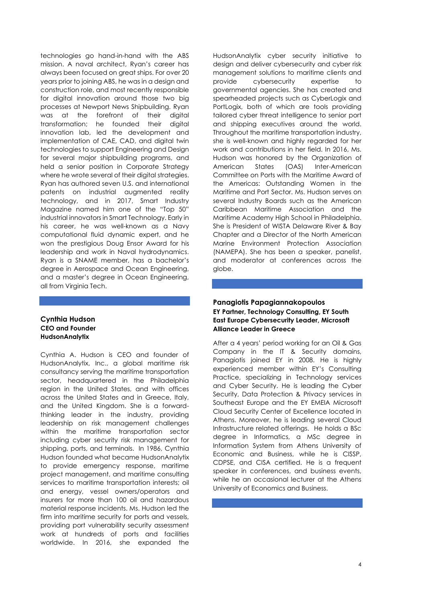technologies go hand-in-hand with the ABS mission. A naval architect, Ryan's career has always been focused on great ships. For over 20 years prior to joining ABS, he was in a design and construction role, and most recently responsible for digital innovation around those two big processes at Newport News Shipbuilding. Ryan was at the forefront of their digital transformation; he founded their digital innovation lab, led the development and implementation of CAE, CAD, and digital twin technologies to support Engineering and Design for several major shipbuilding programs, and held a senior position in Corporate Strategy where he wrote several of their digital strategies. Ryan has authored seven U.S. and international patents on industrial augmented reality technology, and in 2017, Smart Industry Magazine named him one of the "Top 50" industrial innovators in Smart Technology. Early in his career, he was well-known as a Navy computational fluid dynamic expert, and he won the prestigious Doug Ensor Award for his leadership and work in Naval hydrodynamics. Ryan is a SNAME member, has a bachelor's degree in Aerospace and Ocean Engineering, and a master's degree in Ocean Engineering, all from Virginia Tech.

#### **Cynthia Hudson CEO and Founder HudsonAnalytix**

Cynthia A. Hudson is CEO and founder of HudsonAnalytix, Inc., a global maritime risk consultancy serving the maritime transportation sector, headquartered in the Philadelphia region in the United States, and with offices across the United States and in Greece, Italy, and the United Kingdom. She is a forwardthinking leader in the industry, providing leadership on risk management challenges within the maritime transportation sector including cyber security risk management for shipping, ports, and terminals. In 1986, Cynthia Hudson founded what became HudsonAnalytix to provide emergency response, maritime project management, and maritime consulting services to maritime transportation interests; oil and energy, vessel owners/operators and insurers for more than 100 oil and hazardous material response incidents. Ms. Hudson led the firm into maritime security for ports and vessels, providing port vulnerability security assessment work at hundreds of ports and facilities worldwide. In 2016, she expanded the HudsonAnalytix cyber security initiative to design and deliver cybersecurity and cyber risk management solutions to maritime clients and provide cybersecurity expertise to governmental agencies. She has created and spearheaded projects such as CyberLogix and PortLogix, both of which are tools providing tailored cyber threat intelligence to senior port and shipping executives around the world. Throughout the maritime transportation industry, she is well-known and highly regarded for her work and contributions in her field. In 2016, Ms. Hudson was honored by the Organization of American States (OAS) Inter-American Committee on Ports with the Maritime Award of the Americas: Outstanding Women in the Maritime and Port Sector. Ms. Hudson serves on several Industry Boards such as the American Caribbean Maritime Association and the Maritime Academy High School in Philadelphia. She is President of WISTA Delaware River & Bay Chapter and a Director of the North American Marine Environment Protection Association (NAMEPA). She has been a speaker, panelist, and moderator at conferences across the globe.

# **Panagiotis Papagiannakopoulos EY Partner, Technology Consulting, EY South East Europe Cybersecurity Leader, Microsoft Alliance Leader in Greece**

After a 4 years' period working for an Oil & Gas Company in the IT & Security domains, Panagiotis joined EY in 2008. He is highly experienced member within EY's Consulting Practice, specializing in Technology services and Cyber Security. He is leading the Cyber Security, Data Protection & Privacy services in Southeast Europe and the EY EMEIA Microsoft Cloud Security Center of Excellence located in Athens. Moreover, he is leading several Cloud Infrastructure related offerings. He holds a BSc degree in Informatics, a MSc degree in Information System from Athens University of Economic and Business, while he is CISSP, CDPSE, and CISA certified. He is a frequent speaker in conferences, and business events, while he an occasional lecturer at the Athens University of Economics and Business.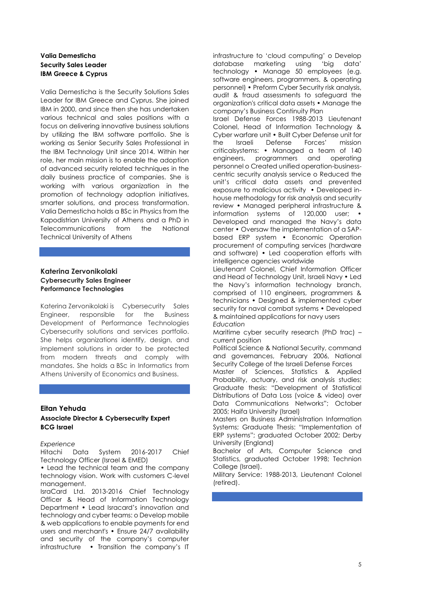# **Valia Demesticha Security Sales Leader IBM Greece & Cyprus**

Valia Demesticha is the Security Solutions Sales Leader for IBM Greece and Cyprus. She joined IBM in 2000, and since then she has undertaken various technical and sales positions with a focus on delivering innovative business solutions by utilizing the IBM software portfolio. She is working as Senior Security Sales Professional in the ΙΒΜ Technology Unit since 2014. Within her role, her main mission is to enable the adoption of advanced security related techniques in the daily business practice of companies. She is working with various organization in the promotion of technology adoption initiatives, smarter solutions, and process transformation. Valia Demesticha holds a BSc in Physics from the Kapodistrian University of Athens and a PhD in Telecommunications from the National Technical University of Athens

### **Katerina Zervonikolaki Cybersecurity Sales Engineer Performance Technologies**

Katerina Zervonikolaki is Cybersecurity Sales Engineer, responsible for the Business Development of Performance Technologies Cybersecurity solutions and services portfolio. She helps organizations identify, design, and implement solutions in order to be protected from modern threats and comply with mandates. She holds a BSc in Informatics from Athens University of Economics and Business.

#### **Eitan Yehuda**

## **Associate Director & Cybersecurity Expert BCG Israel**

*Experience* 

Hitachi Data System 2016-2017 Chief Technology Officer (Israel & EMED)

• Lead the technical team and the company technology vision. Work with customers C-level management.

IsraCard Ltd. 2013-2016 Chief Technology Officer & Head of Information Technology Department • Lead Isracard's innovation and technology and cyber teams: o Develop mobile & web applications to enable payments for end users and merchant's • Ensure 24/7 availability and security of the company's computer infrastructure • Transition the company's IT

infrastructure to 'cloud computing' o Develop database marketing using 'big data' technology • Manage 50 employees (e.g. software engineers, programmers, & operating personnel) • Preform Cyber Security risk analysis, audit & fraud assessments to safeguard the organization's critical data assets • Manage the company's Business Continuity Plan Israel Defense Forces 1988-2013 Lieutenant Colonel, Head of Information Technology & Cyber warfare unit • Built Cyber Defense unit for the Israeli Defense Forces' mission criticalsystems: • Managed a team of 140 engineers, programmers and operating personnel o Created unified operation-businesscentric security analysis service o Reduced the unit's critical data assets and prevented exposure to malicious activity • Developed inhouse methodology for risk analysis and security review • Managed peripheral infrastructure & information systems of 120,000 user; Developed and managed the Navy's data center • Oversaw the implementation of a SAPbased ERP system • Economic Operation procurement of computing services (hardware and software) • Led cooperation efforts with intelligence agencies worldwide

Lieutenant Colonel, Chief Information Officer and Head of Technology Unit, Israeli Navy • Led the Navy's information technology branch, comprised of 110 engineers, programmers & technicians • Designed & implemented cyber security for naval combat systems • Developed & maintained applications for navy users *Education* 

Maritime cyber security research (PhD trac) – current position

Political Science & National Security, command and governances, February 2006, National Security College of the Israeli Defense Forces

Master of Sciences, Statistics & Applied Probability, actuary, and risk analysis studies; Graduate thesis: "Development of Statistical Distributions of Data Loss (voice & video) over Data Communications Networks"; October 2005; Haifa University (Israel)

Masters on Business Administration Information Systems; Graduate Thesis: "Implementation of ERP systems"; graduated October 2002; Derby University (England)

Bachelor of Arts, Computer Science and Statistics, graduated October 1998; Technion College (Israel).

Military Service: 1988-2013, Lieutenant Colonel (retired).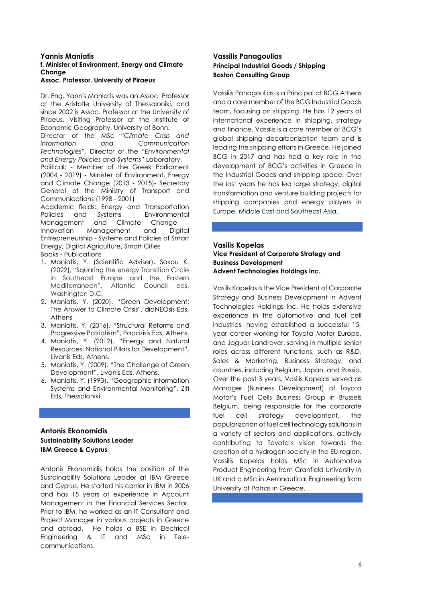### **Yannis Maniatis f. Minister of Environment, Energy and Climate Change**

#### **Assoc. Professor, University of Piraeus**

Dr. Eng. Yannis Maniatis was an Assoc. Professor at the Aristotle University of Thessaloniki, and since 2002 is Assoc. Professor at the University of Piraeus. Visiting Professor at the Institute of Economic Geography, University of Bonn.

Director of the MSc *"Climate Crisis and Information and Communication Technologies".* Director of the *"Environmental and Energy Policies and Systems"* Laboratory. Political: - Member of the Greek Parliament (2004 - 2019) - Minister of Environment, Energy and Climate Change (2013 - 2015)- Secretary General of the Ministry of Transport and Communications (1998 - 2001)

Academic fields: Energy and Transportation Policies and Systems - Environmental Management and Climate Change Innovation Management and Digital Entrepreneurship - Systems and Policies of Smart Energy, Digital Agriculture, Smart Cities

Books - Publications

- 1. Maniatis, Y. (Scientific Adviser), Sokou K. (2022), "Squaring the energy Transition Circle in Southeast Europe and the Eastern Mediterranean", Atlantic Council eds, Washington D.C.
- 2. Maniatis, Y. (2020). "Green Development: The Answer to Climate Crisis", diaNEOsis Eds, Athens
- 3. Maniatis, Υ. (2016). "Structural Reforms and Progressive Patriotism", Papazisis Eds, Athens.
- 4. Maniatis, Υ. (2012). "Energy and Natural Resources: National Pillars for Development", Livanis Eds, Athens.
- 5. Maniatis, Υ. (2009). "The Challenge of Green Development", Livanis Eds, Athens.
- 6. Maniatis, Υ. (1993). "Geographic Information Systems and Environmental Monitoring", Ziti Eds, Thessaloniki.

## **Antonis Ekonomidis Sustainability Solutions Leader IBM Greece & Cyprus**

Antonis Ekonomidis holds the position of the Sustainability Solutions Leader at IBM Greece and Cyprus. He started his carrier in IBM in 2006 and has 15 years of experience in Account Management in the Financial Services Sector. Prior to IBM, he worked as an IT Consultant and Project Manager in various projects in Greece and abroad. He holds a BSE in Electrical Engineering & IT and MSc in Telecommunications.

### **Vassilis Panagoulias Principal Industrial Goods / Shipping Boston Consulting Group**

Vassilis Panagoulias is a Principal at BCG Athens and a core member of the BCG Industrial Goods team, focusing on shipping. He has 12 years of international experience in shipping, strategy and finance. Vassilis is a core member of BCG's global shipping decarbonization team and is leading the shipping efforts in Greece. He joined BCG in 2017 and has had a key role in the development of BCG's activities in Greece in the Industrial Goods and shipping space. Over the last years he has led large strategy, digital transformation and venture building projects for shipping companies and energy players in Europe, Middle East and Southeast Asia.

### **Vasilis Kopelas**

### **Vice President of Corporate Strategy and Business Development Advent Technologies Holdings Inc.**

Vasilis Kopelas is the Vice President of Corporate Strategy and Business Development in Advent Technologies Holdings Inc. He holds extensive experience in the automotive and fuel cell industries, having established a successful 15 year career working for Toyota Motor Europe, and Jaguar-Landrover, serving in multiple senior roles across different functions, such as R&D, Sales & Marketing, Business Strategy, and countries, including Belgium, Japan, and Russia. Over the past 3 years, Vasilis Kopelas served as Manager (Business Development) of Toyota Motor's Fuel Cells Business Group in Brussels Belgium, being responsible for the corporate fuel cell strategy development, the popularization of fuel cell technology solutions in a variety of sectors and applications, actively contributing to Toyota's vision towards the creation of a hydrogen society in the EU region. Vassilis Kopelas holds MSc in Automotive Product Engineering from Cranfield University in UK and a MSc in Aeronautical Engineering from University of Patras in Greece.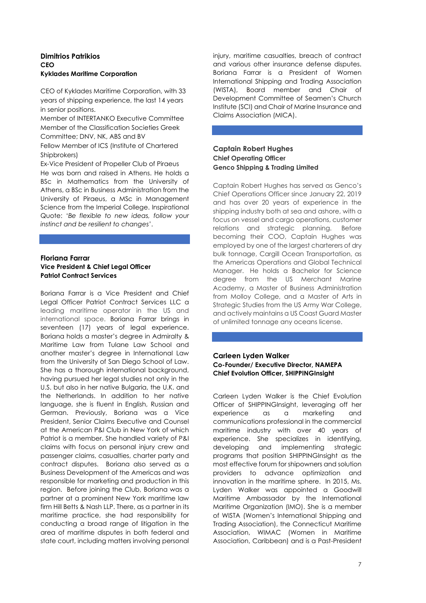### **Dimitrios Patrikios CEO Kyklades Maritime Corporation**

CEO of Kyklades Maritime Corporation, with 33 years of shipping experience, the last 14 years in senior positions.

Member of INTERTANKO Executive Committee Member of the Classification Societies Greek Committee; DNV, NK, ABS and BV

Fellow Member of ICS (Institute of Chartered Shipbrokers)

Ex-Vice President of Propeller Club of Piraeus He was born and raised in Athens. He holds a BSc in Mathematics from the University of Athens, a BSc in Business Administration from the University of Piraeus, a MSc in Management Science from the Imperial College. Inspirational Quote: '*Be flexible to new ideas, follow your instinct and be resilient to changes*'.

# **Floriana Farrar Vice President & Chief Legal Officer Patriot Contract Services**

Boriana Farrar is a Vice President and Chief Legal Officer Patriot Contract Services LLC a leading maritime operator in the US and international space. Boriana Farrar brings in seventeen (17) years of legal experience. Boriana holds a master's degree in Admiralty & Maritime Law from Tulane Law School and another master's degree in International Law from the University of San Diego School of Law. She has a thorough international background, having pursued her legal studies not only in the U.S. but also in her native Bulgaria, the U.K. and the Netherlands. In addition to her native language, she is fluent in English, Russian and German. Previously, Boriana was a Vice President, Senior Claims Executive and Counsel at the American P&I Club in New York of which Patriot is a member. She handled variety of P&I claims with focus on personal injury crew and passenger claims, casualties, charter party and contract disputes. Boriana also served as a Business Development of the Americas and was responsible for marketing and production in this region. Before joining the Club, Boriana was a partner at a prominent New York maritime law firm Hill Betts & Nash LLP. There, as a partner in its maritime practice, she had responsibility for conducting a broad range of litigation in the area οf maritime disputes in both federal and state court, including matters involving personal

injury, maritime casualties, breach of contract and various other insurance defense disputes. Boriana Farrar is a President of Women International Shipping and Trading Association (WISTA), Board member and Chair of Development Committee of Seamen's Church Institute (SCI) and Chair of Marine Insurance and Claims Association (MICA).

## **Captain Robert Hughes Chief Operating Officer Genco Shipping & Trading Limited**

Captain Robert Hughes has served as Genco's Chief Operations Officer since January 22, 2019 and has over 20 years of experience in the shipping industry both at sea and ashore, with a focus on vessel and cargo operations, customer relations and strategic planning. Before becoming their COO, Captain Hughes was employed by one of the largest charterers of dry bulk tonnage, Cargill Ocean Transportation, as the Americas Operations and Global Technical Manager. He holds a Bachelor for Science degree from the US Merchant Marine Academy, a Master of Business Administration from Molloy College, and a Master of Arts in Strategic Studies from the US Army War College, and actively maintains a US Coast Guard Master of unlimited tonnage any oceans license.

## **Carleen Lyden Walker Co-Founder/ Executive Director, NAMEPA Chief Evolution Officer, SHIPPINGInsight**

Carleen Lyden Walker is the Chief Evolution Officer of SHIPPINGInsight, leveraging off her experience as a marketing and communications professional in the commercial maritime industry with over 40 years of experience. She specializes in identifying, developing and implementing strategic programs that position SHIPPINGInsight as the most effective forum for shipowners and solution providers to advance optimization and innovation in the maritime sphere. In 2015, Ms. Lyden Walker was appointed a Goodwill Maritime Ambassador by the International Maritime Organization (IMO). She is a member of WISTA (Women's International Shipping and Trading Association), the Connecticut Maritime Association, WIMAC (Women in Maritime Association, Caribbean) and is a Past-President